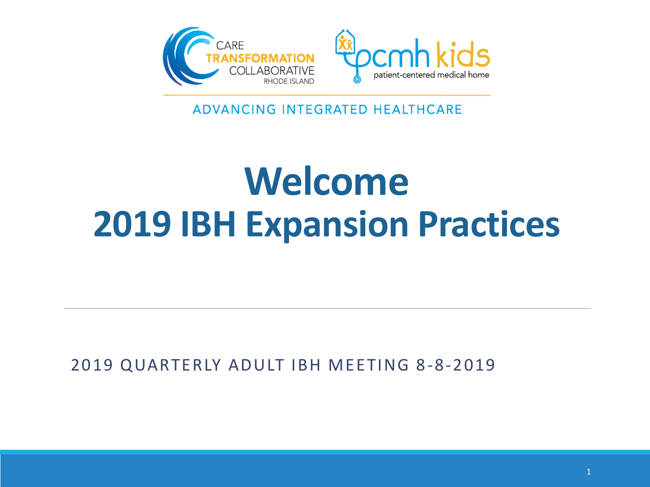

ADVANCING INTEGRATED HEALTHCARE

## **Welcome 2019 IBH Expansion Practices**

2019 QUARTERLY ADULT IBH MEETING 8-8-2019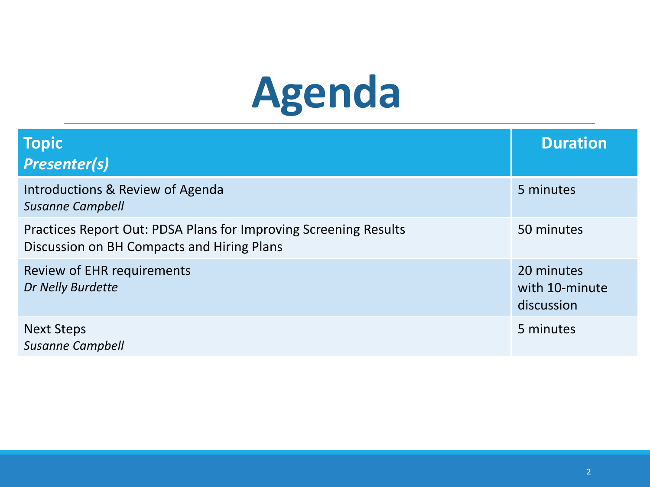# **Agenda**

| <b>Topic</b><br><b>Presenter(s)</b>                                                                            | <b>Duration</b>                            |
|----------------------------------------------------------------------------------------------------------------|--------------------------------------------|
| Introductions & Review of Agenda<br><b>Susanne Campbell</b>                                                    | 5 minutes                                  |
| Practices Report Out: PDSA Plans for Improving Screening Results<br>Discussion on BH Compacts and Hiring Plans | 50 minutes                                 |
| Review of EHR requirements<br>Dr Nelly Burdette                                                                | 20 minutes<br>with 10-minute<br>discussion |
| <b>Next Steps</b><br><b>Susanne Campbell</b>                                                                   | 5 minutes                                  |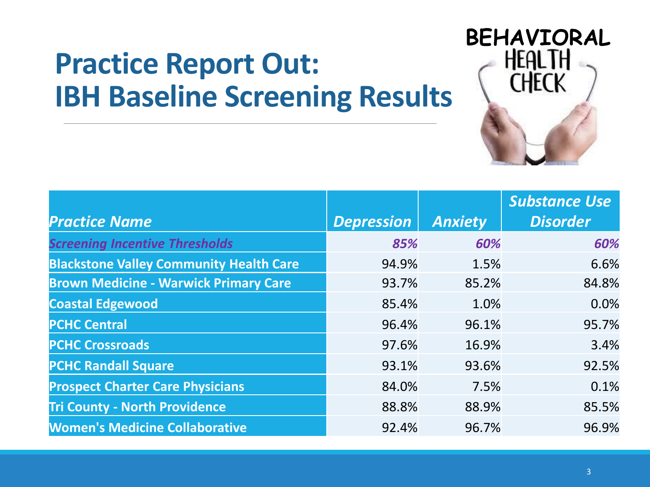#### **Practice Report Out: IBH Baseline Screening Results**



|                                                |                   |                | <b>Substance Use</b> |
|------------------------------------------------|-------------------|----------------|----------------------|
| <b>Practice Name</b>                           | <b>Depression</b> | <b>Anxiety</b> | <b>Disorder</b>      |
| <b>Screening Incentive Thresholds</b>          | 85%               | 60%            | 60%                  |
| <b>Blackstone Valley Community Health Care</b> | 94.9%             | 1.5%           | 6.6%                 |
| <b>Brown Medicine - Warwick Primary Care</b>   | 93.7%             | 85.2%          | 84.8%                |
| <b>Coastal Edgewood</b>                        | 85.4%             | 1.0%           | 0.0%                 |
| <b>PCHC Central</b>                            | 96.4%             | 96.1%          | 95.7%                |
| <b>PCHC Crossroads</b>                         | 97.6%             | 16.9%          | 3.4%                 |
| <b>PCHC Randall Square</b>                     | 93.1%             | 93.6%          | 92.5%                |
| <b>Prospect Charter Care Physicians</b>        | 84.0%             | 7.5%           | 0.1%                 |
| <b>Tri County - North Providence</b>           | 88.8%             | 88.9%          | 85.5%                |
| <b>Women's Medicine Collaborative</b>          | 92.4%             | 96.7%          | 96.9%                |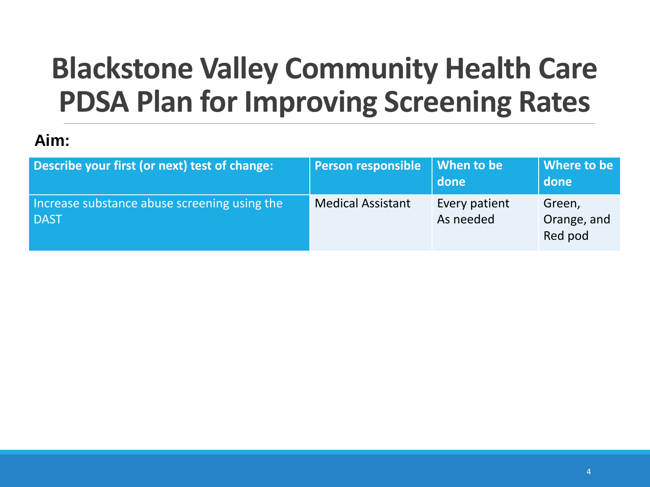### **Blackstone Valley Community Health Care PDSA Plan for Improving Screening Rates**

#### **Aim:**

| Describe your first (or next) test of change:               | <b>Person responsible</b> | When to be<br>done         | Where to be<br>done              |
|-------------------------------------------------------------|---------------------------|----------------------------|----------------------------------|
| Increase substance abuse screening using the<br><b>DAST</b> | <b>Medical Assistant</b>  | Every patient<br>As needed | Green,<br>Orange, and<br>Red pod |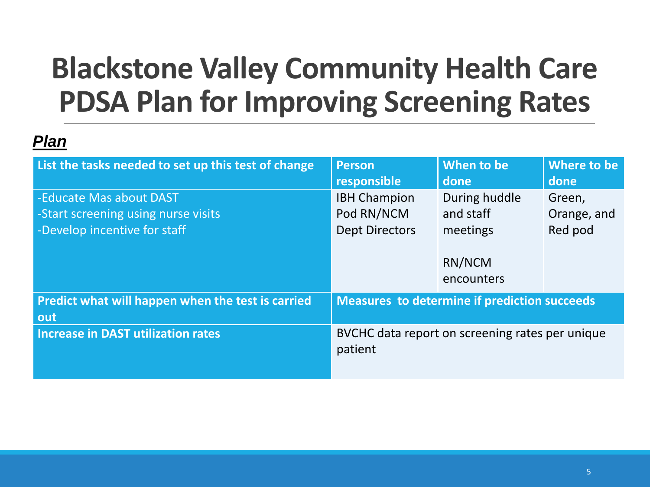### **Blackstone Valley Community Health Care PDSA Plan for Improving Screening Rates**

| List the tasks needed to set up this test of change                                            | <b>Person</b><br>responsible                               | When to be<br>done                              | Where to be<br>done              |
|------------------------------------------------------------------------------------------------|------------------------------------------------------------|-------------------------------------------------|----------------------------------|
| -Educate Mas about DAST<br>-Start screening using nurse visits<br>-Develop incentive for staff | <b>IBH Champion</b><br>Pod RN/NCM<br><b>Dept Directors</b> | During huddle<br>and staff<br>meetings          | Green,<br>Orange, and<br>Red pod |
|                                                                                                |                                                            | RN/NCM<br>encounters                            |                                  |
| Predict what will happen when the test is carried<br>out                                       | <b>Measures to determine if prediction succeeds</b>        |                                                 |                                  |
| <b>Increase in DAST utilization rates</b>                                                      | patient                                                    | BVCHC data report on screening rates per unique |                                  |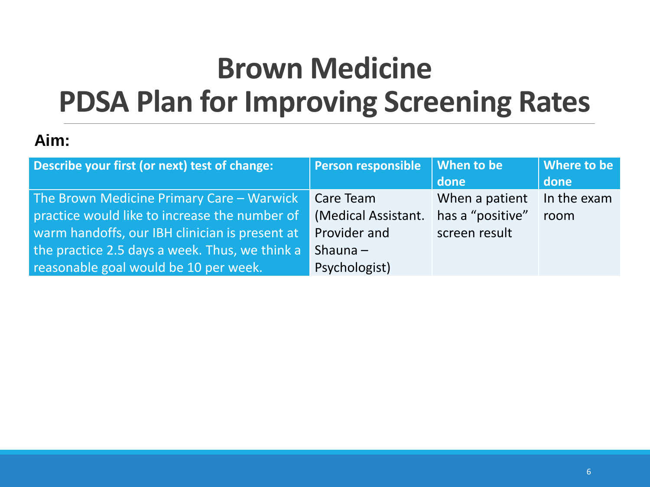### **Brown Medicine PDSA Plan for Improving Screening Rates**

#### **Aim:**

| Describe your first (or next) test of change:                                                                                                                                                                                           | <b>Person responsible</b>                                                       | When to be<br>done                                  | Where to be<br>done |
|-----------------------------------------------------------------------------------------------------------------------------------------------------------------------------------------------------------------------------------------|---------------------------------------------------------------------------------|-----------------------------------------------------|---------------------|
| The Brown Medicine Primary Care - Warwick<br>practice would like to increase the number of<br>warm handoffs, our IBH clinician is present at<br>the practice 2.5 days a week. Thus, we think a<br>reasonable goal would be 10 per week. | Care Team<br>(Medical Assistant.<br>Provider and<br>Shauna $-$<br>Psychologist) | When a patient<br>has a "positive"<br>screen result | In the exam<br>room |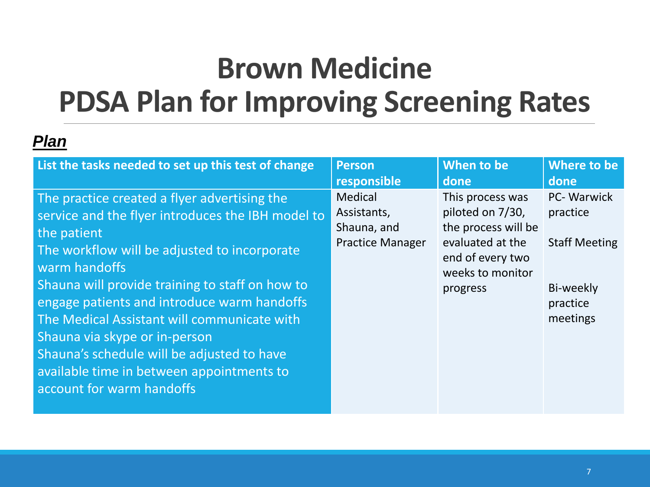### **Brown Medicine PDSA Plan for Improving Screening Rates**

| List the tasks needed to set up this test of change                                                                                                                                                                                                                                                                                                                                                                                                                                         | <b>Person</b>                                                    | When to be                                                                                                                          | Where to be                                                                          |
|---------------------------------------------------------------------------------------------------------------------------------------------------------------------------------------------------------------------------------------------------------------------------------------------------------------------------------------------------------------------------------------------------------------------------------------------------------------------------------------------|------------------------------------------------------------------|-------------------------------------------------------------------------------------------------------------------------------------|--------------------------------------------------------------------------------------|
|                                                                                                                                                                                                                                                                                                                                                                                                                                                                                             | responsible                                                      | done                                                                                                                                | done                                                                                 |
| The practice created a flyer advertising the<br>service and the flyer introduces the IBH model to<br>the patient<br>The workflow will be adjusted to incorporate<br>warm handoffs<br>Shauna will provide training to staff on how to<br>engage patients and introduce warm handoffs<br>The Medical Assistant will communicate with<br>Shauna via skype or in-person<br>Shauna's schedule will be adjusted to have<br>available time in between appointments to<br>account for warm handoffs | Medical<br>Assistants,<br>Shauna, and<br><b>Practice Manager</b> | This process was<br>piloted on 7/30,<br>the process will be<br>evaluated at the<br>end of every two<br>weeks to monitor<br>progress | PC- Warwick<br>practice<br><b>Staff Meeting</b><br>Bi-weekly<br>practice<br>meetings |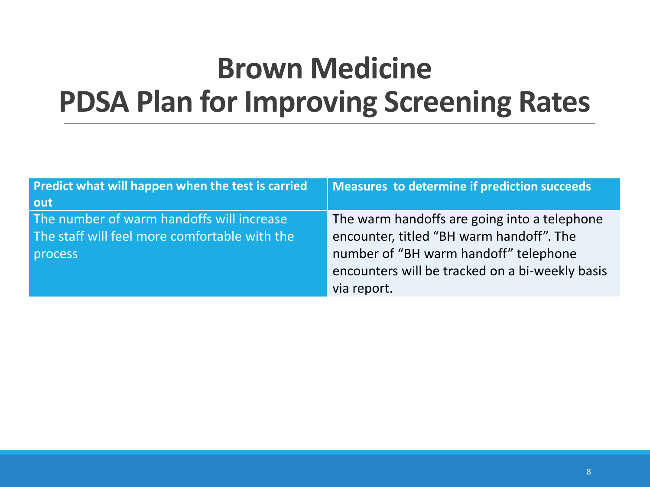### **Brown Medicine PDSA Plan for Improving Screening Rates**

| Predict what will happen when the test is carried | Measures to determine if prediction succeeds    |
|---------------------------------------------------|-------------------------------------------------|
| out                                               |                                                 |
| The number of warm handoffs will increase         | The warm handoffs are going into a telephone    |
| The staff will feel more comfortable with the     | encounter, titled "BH warm handoff". The        |
| process                                           | number of "BH warm handoff" telephone           |
|                                                   | encounters will be tracked on a bi-weekly basis |
|                                                   | via report.                                     |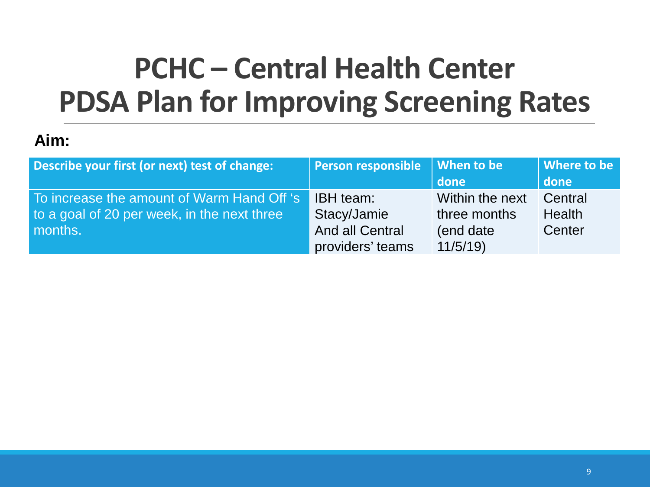### **PCHC – Central Health Center PDSA Plan for Improving Screening Rates**

#### **Aim:**

| Describe your first (or next) test of change: | Person responsible When to be |                 | Where to be   |
|-----------------------------------------------|-------------------------------|-----------------|---------------|
|                                               |                               | done            | done          |
| To increase the amount of Warm Hand Off 's    | <b>IBH</b> team:              | Within the next | Central       |
| to a goal of 20 per week, in the next three   | Stacy/Jamie                   | three months    | <b>Health</b> |
| months.                                       | <b>And all Central</b>        | (end date)      | Center        |
|                                               | providers' teams              | 11/5/19         |               |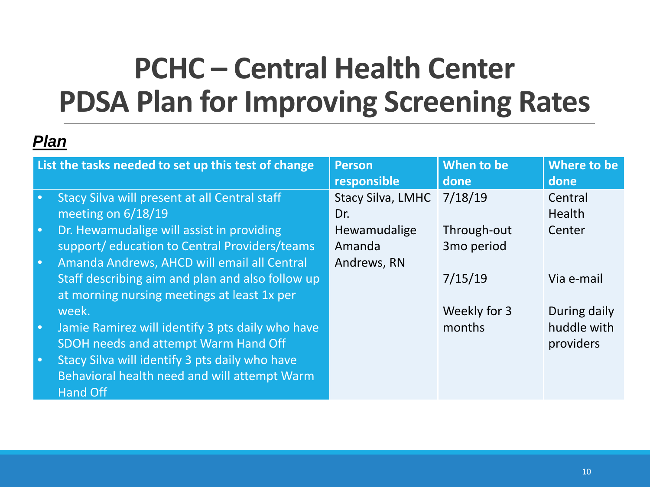### **PCHC – Central Health Center PDSA Plan for Improving Screening Rates**

|           | List the tasks needed to set up this test of change | <b>Person</b>            | When to be             | Where to be  |
|-----------|-----------------------------------------------------|--------------------------|------------------------|--------------|
|           |                                                     | responsible              | done                   | done         |
| $\bullet$ | Stacy Silva will present at all Central staff       | <b>Stacy Silva, LMHC</b> | 7/18/19                | Central      |
|           | meeting on $6/18/19$                                | Dr.                      |                        | Health       |
| $\bullet$ | Dr. Hewamudalige will assist in providing           | Hewamudalige             | Through-out            | Center       |
|           | support/education to Central Providers/teams        | Amanda                   | 3 <sub>mo</sub> period |              |
| $\bullet$ | Amanda Andrews, AHCD will email all Central         | Andrews, RN              |                        |              |
|           | Staff describing aim and plan and also follow up    |                          | 7/15/19                | Via e-mail   |
|           | at morning nursing meetings at least 1x per         |                          |                        |              |
|           | week.                                               |                          | Weekly for 3           | During daily |
| $\bullet$ | Jamie Ramirez will identify 3 pts daily who have    |                          | months                 | huddle with  |
|           | SDOH needs and attempt Warm Hand Off                |                          |                        | providers    |
| $\bullet$ | Stacy Silva will identify 3 pts daily who have      |                          |                        |              |
|           | Behavioral health need and will attempt Warm        |                          |                        |              |
|           | <b>Hand Off</b>                                     |                          |                        |              |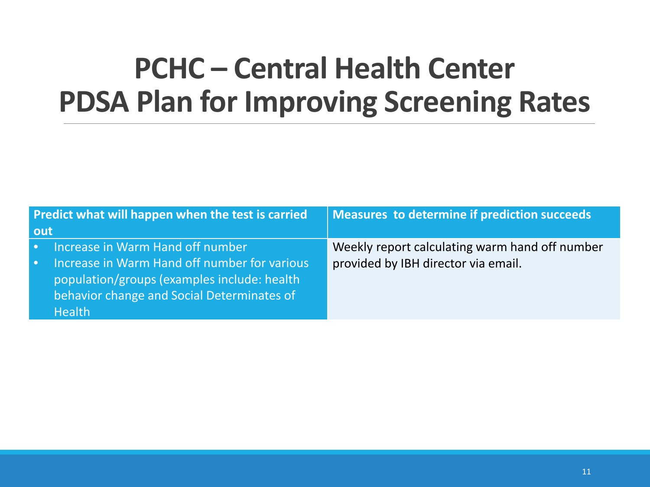#### **PCHC – Central Health Center PDSA Plan for Improving Screening Rates**

| Predict what will happen when the test is carried |                                                                                                                                                            | Measures to determine if prediction succeeds   |
|---------------------------------------------------|------------------------------------------------------------------------------------------------------------------------------------------------------------|------------------------------------------------|
| out                                               |                                                                                                                                                            |                                                |
| $\bullet$ .                                       | Increase in Warm Hand off number                                                                                                                           | Weekly report calculating warm hand off number |
| $\bullet$                                         | Increase in Warm Hand off number for various<br>population/groups (examples include: health<br>behavior change and Social Determinates of<br><b>Health</b> | provided by IBH director via email.            |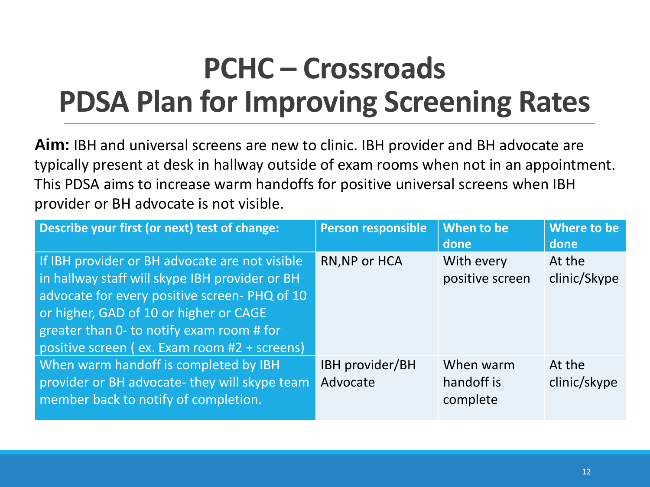### **PCHC – Crossroads PDSA Plan for Improving Screening Rates**

**Aim:** IBH and universal screens are new to clinic. IBH provider and BH advocate are typically present at desk in hallway outside of exam rooms when not in an appointment. This PDSA aims to increase warm handoffs for positive universal screens when IBH provider or BH advocate is not visible.

| Describe your first (or next) test of change:                                                                                                                                                                                                                                           | <b>Person responsible</b>   | When to be<br>done                   | Where to be<br>done    |
|-----------------------------------------------------------------------------------------------------------------------------------------------------------------------------------------------------------------------------------------------------------------------------------------|-----------------------------|--------------------------------------|------------------------|
| If IBH provider or BH advocate are not visible<br>in hallway staff will skype IBH provider or BH<br>advocate for every positive screen-PHQ of 10<br>or higher, GAD of 10 or higher or CAGE<br>greater than 0- to notify exam room # for<br>positive screen (ex. Exam room #2 + screens) | RN, NP or HCA               | With every<br>positive screen        | At the<br>clinic/Skype |
| When warm handoff is completed by IBH<br>provider or BH advocate- they will skype team<br>member back to notify of completion.                                                                                                                                                          | IBH provider/BH<br>Advocate | When warm<br>hand off is<br>complete | At the<br>clinic/skype |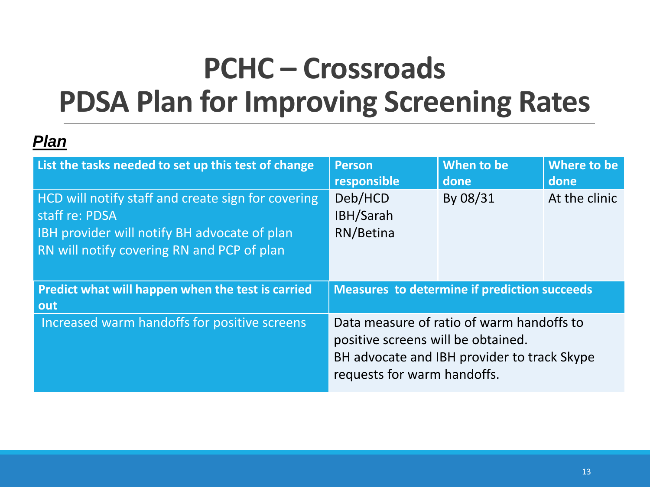### **PCHC – Crossroads PDSA Plan for Improving Screening Rates**

| List the tasks needed to set up this test of change                                                                                                                | <b>Person</b><br>responsible                                                                                                                                  | When to be<br>done | Where to be<br>done |
|--------------------------------------------------------------------------------------------------------------------------------------------------------------------|---------------------------------------------------------------------------------------------------------------------------------------------------------------|--------------------|---------------------|
| HCD will notify staff and create sign for covering<br>staff re: PDSA<br>IBH provider will notify BH advocate of plan<br>RN will notify covering RN and PCP of plan | Deb/HCD<br>IBH/Sarah<br>RN/Betina                                                                                                                             | By 08/31           | At the clinic       |
| Predict what will happen when the test is carried<br>out                                                                                                           | <b>Measures to determine if prediction succeeds</b>                                                                                                           |                    |                     |
| Increased warm handoffs for positive screens                                                                                                                       | Data measure of ratio of warm handoffs to<br>positive screens will be obtained.<br>BH advocate and IBH provider to track Skype<br>requests for warm handoffs. |                    |                     |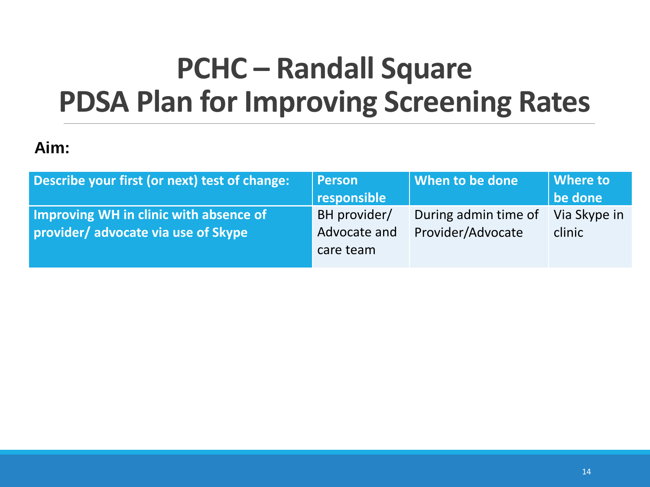### **PCHC – Randall Square PDSA Plan for Improving Screening Rates**

#### **Aim:**

| Describe your first (or next) test of change: | <b>Person</b> | <b>When to be done</b> | Where to     |
|-----------------------------------------------|---------------|------------------------|--------------|
|                                               | responsible   |                        | be done      |
| Improving WH in clinic with absence of        | BH provider/  | During admin time of   | Via Skype in |
| provider/advocate via use of Skype            | Advocate and  | Provider/Advocate      | clinic       |
|                                               | care team     |                        |              |
|                                               |               |                        |              |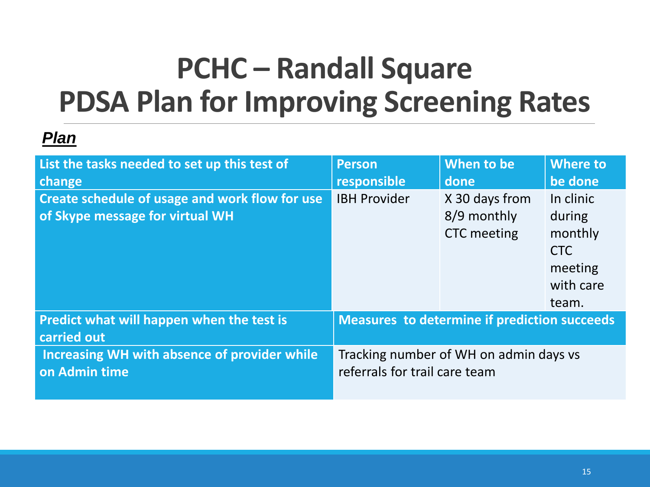### **PCHC – Randall Square PDSA Plan for Improving Screening Rates**

| List the tasks needed to set up this test of                                      | <b>Person</b>                                       | When to be                                          | <b>Where to</b>                                                               |
|-----------------------------------------------------------------------------------|-----------------------------------------------------|-----------------------------------------------------|-------------------------------------------------------------------------------|
| change                                                                            | responsible                                         | done                                                | be done                                                                       |
| Create schedule of usage and work flow for use<br>of Skype message for virtual WH | <b>IBH Provider</b>                                 | X 30 days from<br>8/9 monthly<br><b>CTC</b> meeting | In clinic<br>during<br>monthly<br><b>CTC</b><br>meeting<br>with care<br>team. |
| Predict what will happen when the test is<br>carried out                          | <b>Measures to determine if prediction succeeds</b> |                                                     |                                                                               |
| Increasing WH with absence of provider while                                      | Tracking number of WH on admin days vs              |                                                     |                                                                               |
| on Admin time                                                                     | referrals for trail care team                       |                                                     |                                                                               |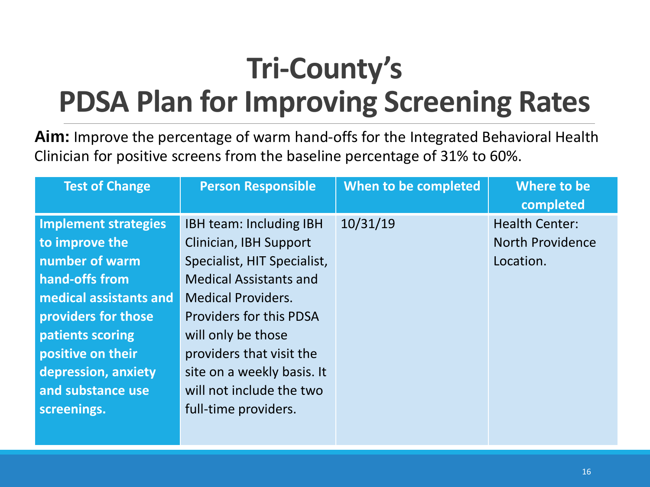### **Tri-County's PDSA Plan for Improving Screening Rates**

**Aim:** Improve the percentage of warm hand-offs for the Integrated Behavioral Health Clinician for positive screens from the baseline percentage of 31% to 60%.

| <b>Test of Change</b>  | <b>Person Responsible</b>      | When to be completed | Where to be<br>completed |
|------------------------|--------------------------------|----------------------|--------------------------|
| Implement strategies   | <b>IBH team: Including IBH</b> | 10/31/19             | <b>Health Center:</b>    |
| to improve the         | Clinician, IBH Support         |                      | <b>North Providence</b>  |
| number of warm         | Specialist, HIT Specialist,    |                      | Location.                |
| hand-offs from         | <b>Medical Assistants and</b>  |                      |                          |
| medical assistants and | <b>Medical Providers.</b>      |                      |                          |
| providers for those    | <b>Providers for this PDSA</b> |                      |                          |
| patients scoring       | will only be those             |                      |                          |
| positive on their      | providers that visit the       |                      |                          |
| depression, anxiety    | site on a weekly basis. It     |                      |                          |
| and substance use      | will not include the two       |                      |                          |
| screenings.            | full-time providers.           |                      |                          |
|                        |                                |                      |                          |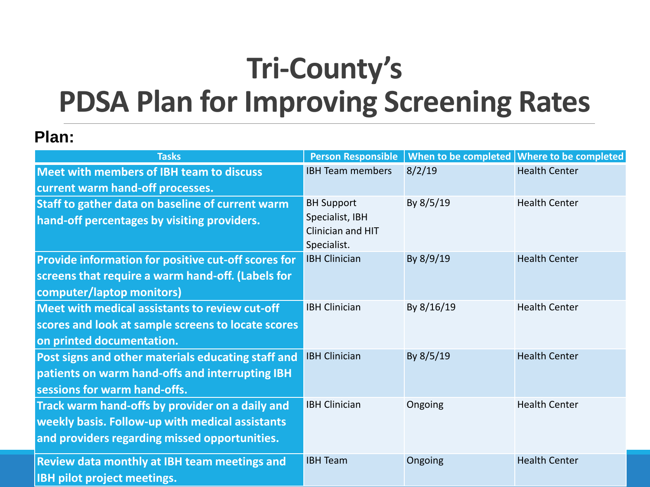### **Tri-County's PDSA Plan for Improving Screening Rates**

#### **Plan:**

| <b>Tasks</b>                                                                                                                                        | <b>Person Responsible</b>                                                |            | When to be completed Where to be completed |
|-----------------------------------------------------------------------------------------------------------------------------------------------------|--------------------------------------------------------------------------|------------|--------------------------------------------|
| <b>Meet with members of IBH team to discuss</b>                                                                                                     | <b>IBH Team members</b>                                                  | 8/2/19     | <b>Health Center</b>                       |
| current warm hand-off processes.                                                                                                                    |                                                                          |            |                                            |
| Staff to gather data on baseline of current warm<br>hand-off percentages by visiting providers.                                                     | <b>BH Support</b><br>Specialist, IBH<br>Clinician and HIT<br>Specialist. | By 8/5/19  | <b>Health Center</b>                       |
| Provide information for positive cut-off scores for<br>screens that require a warm hand-off. (Labels for<br>computer/laptop monitors)               | <b>IBH Clinician</b>                                                     | By 8/9/19  | <b>Health Center</b>                       |
| Meet with medical assistants to review cut-off<br>scores and look at sample screens to locate scores<br>on printed documentation.                   | <b>IBH Clinician</b>                                                     | By 8/16/19 | <b>Health Center</b>                       |
| Post signs and other materials educating staff and<br>patients on warm hand-offs and interrupting IBH<br>sessions for warm hand-offs.               | <b>IBH Clinician</b>                                                     | By 8/5/19  | <b>Health Center</b>                       |
| Track warm hand-offs by provider on a daily and<br>weekly basis. Follow-up with medical assistants<br>and providers regarding missed opportunities. | <b>IBH Clinician</b>                                                     | Ongoing    | <b>Health Center</b>                       |
| <b>Review data monthly at IBH team meetings and</b><br>IBH pilot project meetings.                                                                  | <b>IBH Team</b>                                                          | Ongoing    | <b>Health Center</b>                       |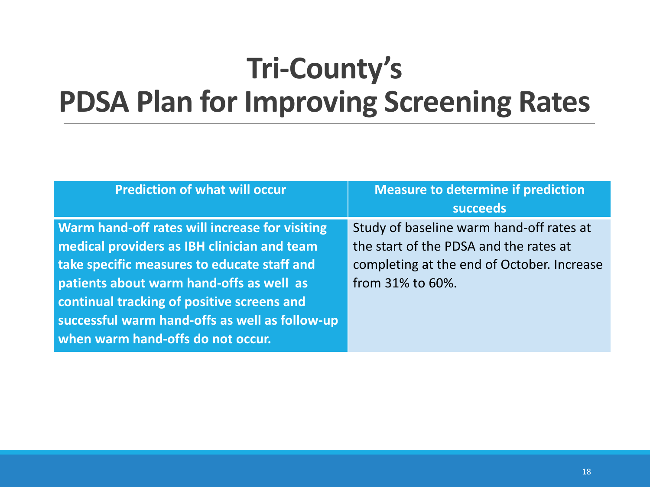### **Tri-County's PDSA Plan for Improving Screening Rates**

| <b>Measure to determine if prediction</b><br><b>succeeds</b>                                                                                         |
|------------------------------------------------------------------------------------------------------------------------------------------------------|
| Study of baseline warm hand-off rates at<br>the start of the PDSA and the rates at<br>completing at the end of October. Increase<br>from 31% to 60%. |
|                                                                                                                                                      |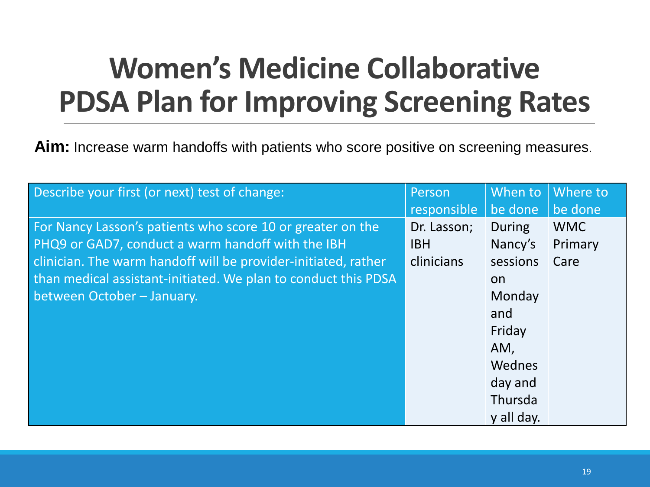### **Women's Medicine Collaborative PDSA Plan for Improving Screening Rates**

**Aim:** Increase warm handoffs with patients who score positive on screening measures.

| Describe your first (or next) test of change:                  | Person      | When to       | Where to   |
|----------------------------------------------------------------|-------------|---------------|------------|
|                                                                | responsible | be done       | be done    |
| For Nancy Lasson's patients who score 10 or greater on the     | Dr. Lasson; | <b>During</b> | <b>WMC</b> |
| PHQ9 or GAD7, conduct a warm handoff with the IBH              | <b>IBH</b>  | Nancy's       | Primary    |
| clinician. The warm handoff will be provider-initiated, rather | clinicians  | sessions      | Care       |
| than medical assistant-initiated. We plan to conduct this PDSA |             | on            |            |
| between October - January.                                     |             | Monday        |            |
|                                                                |             | and           |            |
|                                                                |             | Friday        |            |
|                                                                |             | AM,           |            |
|                                                                |             | Wednes        |            |
|                                                                |             | day and       |            |
|                                                                |             | Thursda       |            |
|                                                                |             | y all day.    |            |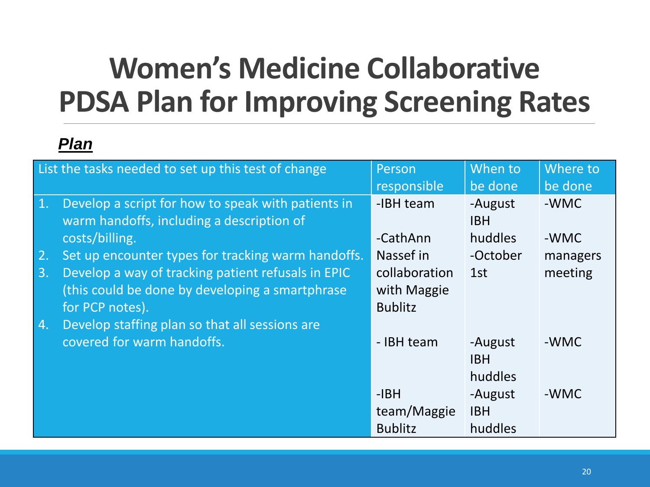### **Women's Medicine Collaborative PDSA Plan for Improving Screening Rates**

|    | List the tasks needed to set up this test of change | Person         | When to    | Where to |
|----|-----------------------------------------------------|----------------|------------|----------|
|    |                                                     | responsible    | be done    | be done  |
| 1. | Develop a script for how to speak with patients in  | -IBH team      | -August    | -WMC     |
|    | warm handoffs, including a description of           |                | <b>IBH</b> |          |
|    | costs/billing.                                      | -CathAnn       | huddles    | -WMC     |
| 2. | Set up encounter types for tracking warm handoffs.  | Nassef in      | -October   | managers |
| 3. | Develop a way of tracking patient refusals in EPIC  | collaboration  | 1st        | meeting  |
|    | (this could be done by developing a smartphrase     | with Maggie    |            |          |
|    | for PCP notes).                                     | <b>Bublitz</b> |            |          |
| 4. | Develop staffing plan so that all sessions are      |                |            |          |
|    | covered for warm handoffs.                          | - IBH team     | -August    | -WMC     |
|    |                                                     |                | <b>IBH</b> |          |
|    |                                                     |                | huddles    |          |
|    |                                                     | $-IBH$         | -August    | -WMC     |
|    |                                                     | team/Maggie    | <b>IBH</b> |          |
|    |                                                     | <b>Bublitz</b> | huddles    |          |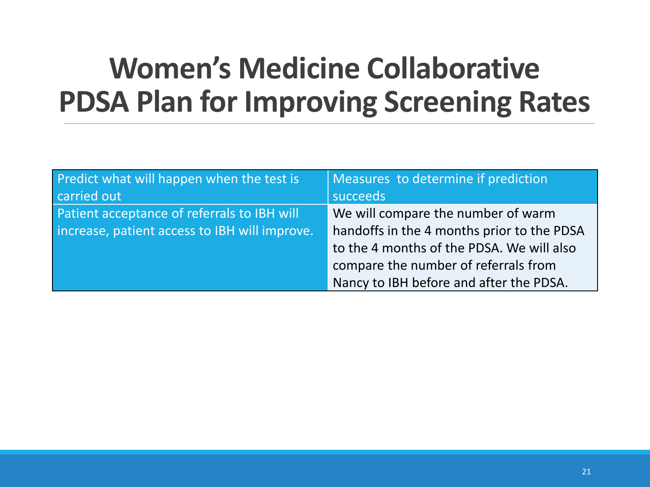### **Women's Medicine Collaborative PDSA Plan for Improving Screening Rates**

| Predict what will happen when the test is     | Measures to determine if prediction        |  |
|-----------------------------------------------|--------------------------------------------|--|
| carried out                                   | succeeds                                   |  |
| Patient acceptance of referrals to IBH will   | We will compare the number of warm         |  |
| increase, patient access to IBH will improve. | handoffs in the 4 months prior to the PDSA |  |
|                                               | to the 4 months of the PDSA. We will also  |  |
|                                               | compare the number of referrals from       |  |
|                                               | Nancy to IBH before and after the PDSA.    |  |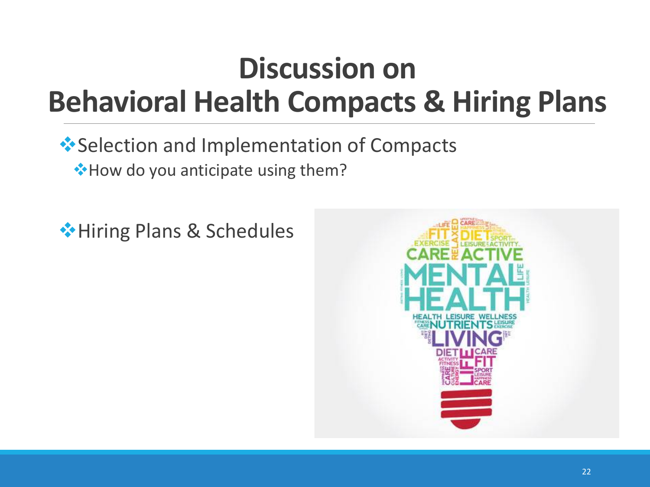### **Discussion on Behavioral Health Compacts & Hiring Plans**

#### **◆ Selection and Implementation of Compacts**

**◆How do you anticipate using them?** 

Hiring Plans & Schedules

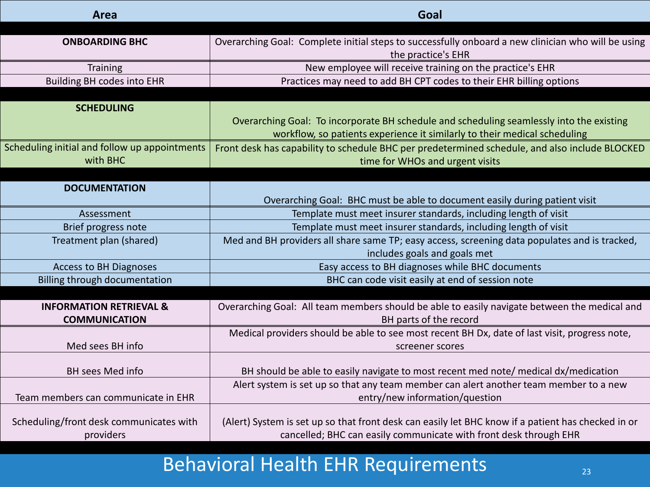| Area                                          | Goal                                                                                               |  |
|-----------------------------------------------|----------------------------------------------------------------------------------------------------|--|
|                                               |                                                                                                    |  |
| <b>ONBOARDING BHC</b>                         | Overarching Goal: Complete initial steps to successfully onboard a new clinician who will be using |  |
|                                               | the practice's EHR                                                                                 |  |
| <b>Training</b>                               | New employee will receive training on the practice's EHR                                           |  |
| <b>Building BH codes into EHR</b>             | Practices may need to add BH CPT codes to their EHR billing options                                |  |
|                                               |                                                                                                    |  |
| <b>SCHEDULING</b>                             |                                                                                                    |  |
|                                               | Overarching Goal: To incorporate BH schedule and scheduling seamlessly into the existing           |  |
|                                               | workflow, so patients experience it similarly to their medical scheduling                          |  |
| Scheduling initial and follow up appointments | Front desk has capability to schedule BHC per predetermined schedule, and also include BLOCKED     |  |
| with BHC                                      | time for WHOs and urgent visits                                                                    |  |
|                                               |                                                                                                    |  |
| <b>DOCUMENTATION</b>                          |                                                                                                    |  |
|                                               | Overarching Goal: BHC must be able to document easily during patient visit                         |  |
| Assessment                                    | Template must meet insurer standards, including length of visit                                    |  |
| Brief progress note                           | Template must meet insurer standards, including length of visit                                    |  |
| Treatment plan (shared)                       | Med and BH providers all share same TP; easy access, screening data populates and is tracked,      |  |
|                                               | includes goals and goals met                                                                       |  |
| <b>Access to BH Diagnoses</b>                 | Easy access to BH diagnoses while BHC documents                                                    |  |
| Billing through documentation                 | BHC can code visit easily at end of session note                                                   |  |
|                                               |                                                                                                    |  |
| <b>INFORMATION RETRIEVAL &amp;</b>            | Overarching Goal: All team members should be able to easily navigate between the medical and       |  |
| <b>COMMUNICATION</b>                          | BH parts of the record                                                                             |  |
|                                               | Medical providers should be able to see most recent BH Dx, date of last visit, progress note,      |  |
| Med sees BH info                              | screener scores                                                                                    |  |
|                                               |                                                                                                    |  |
| <b>BH</b> sees Med info                       | BH should be able to easily navigate to most recent med note/ medical dx/medication                |  |
|                                               | Alert system is set up so that any team member can alert another team member to a new              |  |
| Team members can communicate in EHR           | entry/new information/question                                                                     |  |
|                                               |                                                                                                    |  |
| Scheduling/front desk communicates with       | (Alert) System is set up so that front desk can easily let BHC know if a patient has checked in or |  |
| providers                                     | cancelled; BHC can easily communicate with front desk through EHR                                  |  |

#### Behavioral Health EHR Requirements 23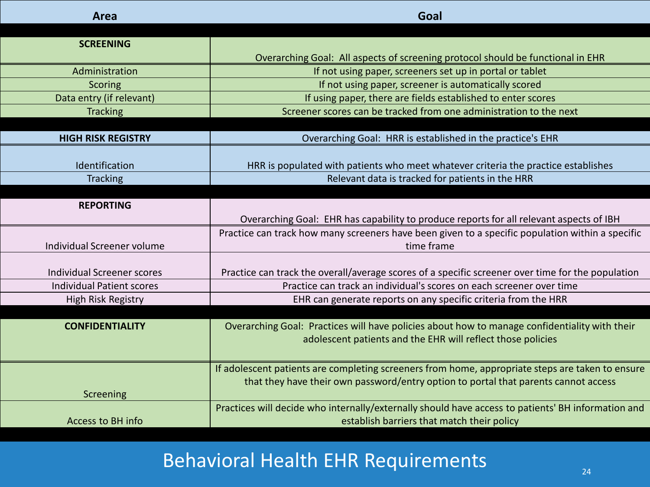| Area                              | Goal                                                                                               |
|-----------------------------------|----------------------------------------------------------------------------------------------------|
|                                   |                                                                                                    |
| <b>SCREENING</b>                  |                                                                                                    |
|                                   | Overarching Goal: All aspects of screening protocol should be functional in EHR                    |
| Administration                    | If not using paper, screeners set up in portal or tablet                                           |
| Scoring                           | If not using paper, screener is automatically scored                                               |
| Data entry (if relevant)          | If using paper, there are fields established to enter scores                                       |
| <b>Tracking</b>                   | Screener scores can be tracked from one administration to the next                                 |
|                                   |                                                                                                    |
| <b>HIGH RISK REGISTRY</b>         | Overarching Goal: HRR is established in the practice's EHR                                         |
|                                   |                                                                                                    |
| Identification                    | HRR is populated with patients who meet whatever criteria the practice establishes                 |
| <b>Tracking</b>                   | Relevant data is tracked for patients in the HRR                                                   |
|                                   |                                                                                                    |
| <b>REPORTING</b>                  |                                                                                                    |
|                                   | Overarching Goal: EHR has capability to produce reports for all relevant aspects of IBH            |
|                                   | Practice can track how many screeners have been given to a specific population within a specific   |
| Individual Screener volume        | time frame                                                                                         |
|                                   |                                                                                                    |
| <b>Individual Screener scores</b> | Practice can track the overall/average scores of a specific screener over time for the population  |
| <b>Individual Patient scores</b>  | Practice can track an individual's scores on each screener over time                               |
| High Risk Registry                | EHR can generate reports on any specific criteria from the HRR                                     |
|                                   |                                                                                                    |
| <b>CONFIDENTIALITY</b>            | Overarching Goal: Practices will have policies about how to manage confidentiality with their      |
|                                   | adolescent patients and the EHR will reflect those policies                                        |
|                                   |                                                                                                    |
|                                   | If adolescent patients are completing screeners from home, appropriate steps are taken to ensure   |
|                                   | that they have their own password/entry option to portal that parents cannot access                |
| Screening                         |                                                                                                    |
|                                   | Practices will decide who internally/externally should have access to patients' BH information and |
| <b>Access to BH info</b>          | establish barriers that match their policy                                                         |

#### Behavioral Health EHR Requirements  $\overline{a}$